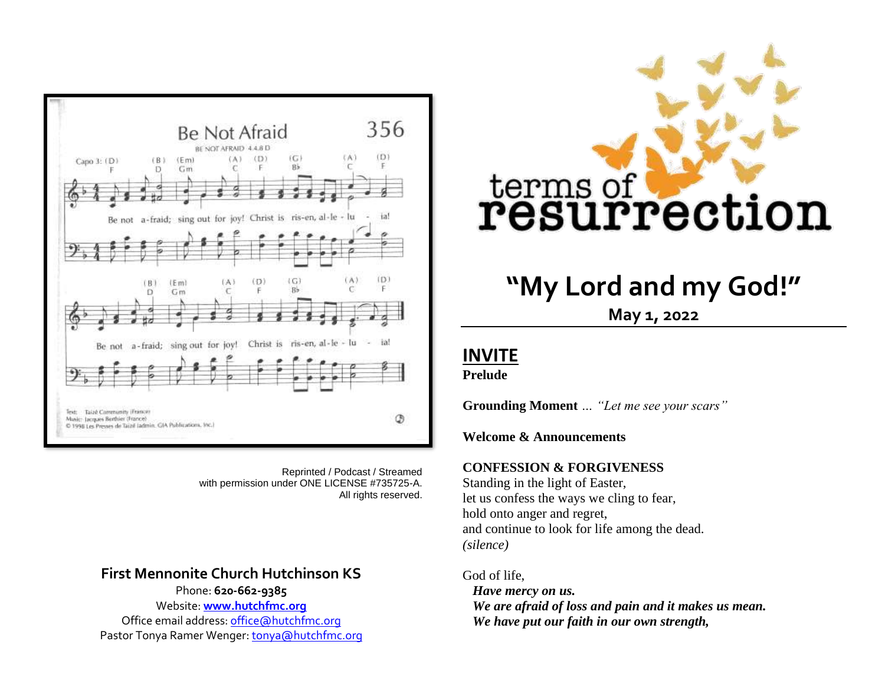

Reprinted / Podcast / Streamed with permission under ONE LICENSE #735725-A. All rights reserved.

### **First Mennonite Church Hutchinson KS**  Phone: **620-662-9385**

Website: **[www.hutchfmc.org](http://www.hutchfmc.org/)** Office email address[: office@hutchfmc.org](mailto:office@hutchfmc.org) Pastor Tonya Ramer Wenger[: tonya@hutchfmc.org](mailto:tonya@hutchfmc.org)



# **"My Lord and my God!"**

**May 1, 2022**

## **INVITE**

**Prelude**

**Grounding Moment** *… "Let me see your scars"*

**Welcome & Announcements**

#### **CONFESSION & FORGIVENESS**

Standing in the light of Easter, let us confess the ways we cling to fear, hold onto anger and regret, and continue to look for life among the dead. *(silence)*

#### God of life,

*Have mercy on us. We are afraid of loss and pain and it makes us mean. We have put our faith in our own strength,*